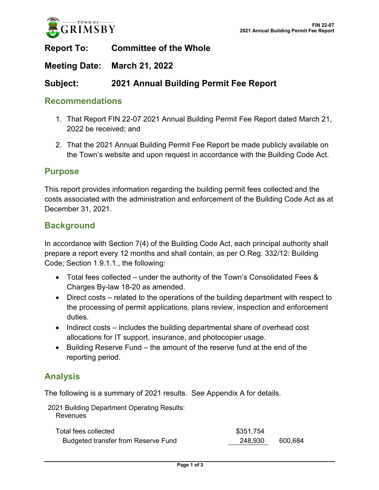

## **Report To: Committee of the Whole**

### **Meeting Date: March 21, 2022**

## **Subject: 2021 Annual Building Permit Fee Report**

#### **Recommendations**

- 1. That Report FIN 22-07 2021 Annual Building Permit Fee Report dated March 21, 2022 be received; and
- 2. That the 2021 Annual Building Permit Fee Report be made publicly available on the Town's website and upon request in accordance with the Building Code Act.

#### **Purpose**

This report provides information regarding the building permit fees collected and the costs associated with the administration and enforcement of the Building Code Act as at December 31, 2021.

#### **Background**

In accordance with Section 7(4) of the Building Code Act, each principal authority shall prepare a report every 12 months and shall contain, as per O.Reg. 332/12: Building Code; Section 1.9.1.1., the following:

- Total fees collected under the authority of the Town's Consolidated Fees & Charges By-law 18-20 as amended.
- Direct costs related to the operations of the building department with respect to the processing of permit applications, plans review, inspection and enforcement duties.
- Indirect costs includes the building departmental share of overhead cost allocations for IT support, insurance, and photocopier usage.
- Building Reserve Fund the amount of the reserve fund at the end of the reporting period.

## **Analysis**

The following is a summary of 2021 results. See Appendix A for details.

2021 Building Department Operating Results: **Revenues** 

| Total fees collected                       | \$351,754          |  |
|--------------------------------------------|--------------------|--|
| <b>Budgeted transfer from Reserve Fund</b> | 248,930<br>600.684 |  |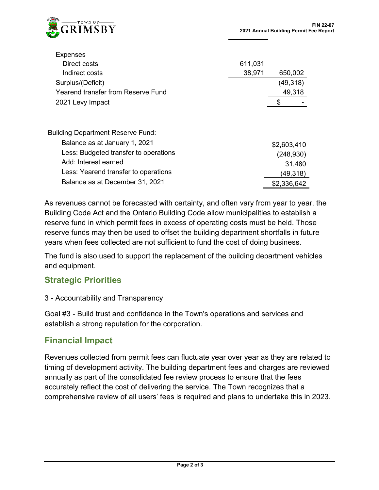

**Expenses** 

| ----------                               |         |             |
|------------------------------------------|---------|-------------|
| Direct costs                             | 611,031 |             |
| Indirect costs                           | 38,971  | 650,002     |
| Surplus/(Deficit)                        |         | (49,318)    |
| Yearend transfer from Reserve Fund       |         | 49,318      |
| 2021 Levy Impact                         |         | \$          |
| <b>Building Department Reserve Fund:</b> |         |             |
| Balance as at January 1, 2021            |         |             |
|                                          |         | \$2,603,410 |
| Less: Budgeted transfer to operations    |         | (248, 930)  |
| Add: Interest earned                     |         | 31,480      |
| Less: Yearend transfer to operations     |         | (49,318)    |
| Balance as at December 31, 2021          |         | \$2,336,642 |

As revenues cannot be forecasted with certainty, and often vary from year to year, the Building Code Act and the Ontario Building Code allow municipalities to establish a reserve fund in which permit fees in excess of operating costs must be held. Those reserve funds may then be used to offset the building department shortfalls in future years when fees collected are not sufficient to fund the cost of doing business.

The fund is also used to support the replacement of the building department vehicles and equipment.

#### **Strategic Priorities**

3 - Accountability and Transparency

Goal #3 - Build trust and confidence in the Town's operations and services and establish a strong reputation for the corporation.

## **Financial Impact**

Revenues collected from permit fees can fluctuate year over year as they are related to timing of development activity. The building department fees and charges are reviewed annually as part of the consolidated fee review process to ensure that the fees accurately reflect the cost of delivering the service. The Town recognizes that a comprehensive review of all users' fees is required and plans to undertake this in 2023.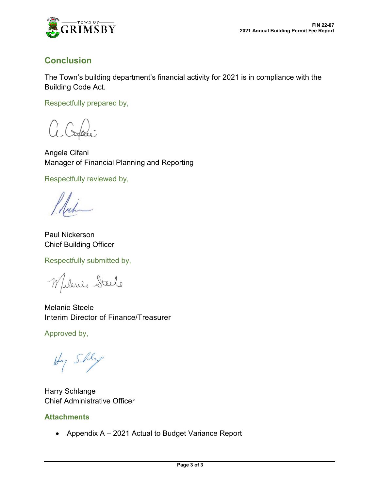

## **Conclusion**

The Town's building department's financial activity for 2021 is in compliance with the Building Code Act.

Respectfully prepared by,

Angela Cifani Manager of Financial Planning and Reporting

Respectfully reviewed by,

Paul Nickerson Chief Building Officer

Respectfully submitted by,

Wilanie Steele

Melanie Steele Interim Director of Finance/Treasurer

Approved by,

Hy Shly

Harry Schlange Chief Administrative Officer

#### **Attachments**

• Appendix A – 2021 Actual to Budget Variance Report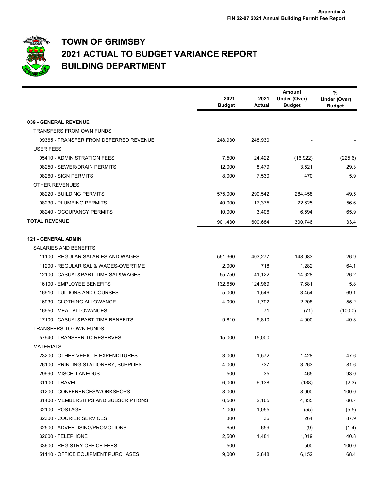

## **TOWN OF GRIMSBY 2021 ACTUAL TO BUDGET VARIANCE REPORT BUILDING DEPARTMENT**

|                                        | 2021          | 2021    | <b>Amount</b><br>Under (Over) | %<br>Under (Over) |
|----------------------------------------|---------------|---------|-------------------------------|-------------------|
|                                        | <b>Budget</b> | Actual  | <b>Budget</b>                 | <b>Budget</b>     |
| 039 - GENERAL REVENUE                  |               |         |                               |                   |
| <b>TRANSFERS FROM OWN FUNDS</b>        |               |         |                               |                   |
| 09365 - TRANSFER FROM DEFERRED REVENUE | 248,930       | 248,930 |                               |                   |
| <b>USER FEES</b>                       |               |         |                               |                   |
| 05410 - ADMINISTRATION FEES            | 7,500         | 24,422  | (16, 922)                     | (225.6)           |
| 08250 - SEWER/DRAIN PERMITS            | 12,000        | 8,479   | 3,521                         | 29.3              |
| 08260 - SIGN PERMITS                   | 8,000         | 7,530   | 470                           | 5.9               |
| <b>OTHER REVENUES</b>                  |               |         |                               |                   |
| 08220 - BUILDING PERMITS               | 575,000       | 290,542 | 284,458                       | 49.5              |
| 08230 - PLUMBING PERMITS               | 40,000        | 17,375  | 22,625                        | 56.6              |
| 08240 - OCCUPANCY PERMITS              | 10,000        | 3,406   | 6,594                         | 65.9              |
| <b>TOTAL REVENUE</b>                   | 901,430       | 600,684 | 300,746                       | 33.4              |
| <b>121 - GENERAL ADMIN</b>             |               |         |                               |                   |
| <b>SALARIES AND BENEFITS</b>           |               |         |                               |                   |
| 11100 - REGULAR SALARIES AND WAGES     | 551,360       | 403,277 | 148,083                       | 26.9              |
| 11200 - REGULAR SAL & WAGES-OVERTIME   | 2,000         | 718     | 1,282                         | 64.1              |
| 12100 - CASUAL&PART-TIME SAL&WAGES     | 55,750        | 41,122  | 14,628                        | 26.2              |
| 16100 - EMPLOYEE BENEFITS              | 132,650       | 124,969 | 7,681                         | 5.8               |
| 16910 - TUITIONS AND COURSES           | 5,000         | 1,546   | 3,454                         | 69.1              |
| 16930 - CLOTHING ALLOWANCE             | 4,000         | 1,792   | 2,208                         | 55.2              |
| 16950 - MEAL ALLOWANCES                |               | 71      | (71)                          | (100.0)           |
| 17100 - CASUAL&PART-TIME BENEFITS      | 9,810         | 5,810   | 4,000                         | 40.8              |
| TRANSFERS TO OWN FUNDS                 |               |         |                               |                   |
| 57940 - TRANSFER TO RESERVES           | 15,000        | 15,000  |                               |                   |
| <b>MATERIALS</b>                       |               |         |                               |                   |
| 23200 - OTHER VEHICLE EXPENDITURES     | 3,000         | 1,572   | 1,428                         | 47.6              |
| 26100 - PRINTING STATIONERY, SUPPLIES  | 4,000         | 737     | 3,263                         | 81.6              |
| 29990 - MISCELLANEOUS                  | 500           | 35      | 465                           | 93.0              |
| 31100 - TRAVEL                         | 6,000         | 6,138   | (138)                         | (2.3)             |
| 31200 - CONFERENCES/WORKSHOPS          | 8,000         |         | 8,000                         | 100.0             |
| 31400 - MEMBERSHIPS AND SUBSCRIPTIONS  | 6,500         | 2,165   | 4,335                         | 66.7              |
| 32100 - POSTAGE                        | 1,000         | 1,055   | (55)                          | (5.5)             |
| 32300 - COURIER SERVICES               | 300           | 36      | 264                           | 87.9              |
| 32500 - ADVERTISING/PROMOTIONS         | 650           | 659     | (9)                           | (1.4)             |
| 32600 - TELEPHONE                      | 2,500         | 1,481   | 1,019                         | 40.8              |
| 33600 - REGISTRY OFFICE FEES           | 500           |         | 500                           | 100.0             |
| 51110 - OFFICE EQUIPMENT PURCHASES     | 9,000         | 2,848   | 6,152                         | 68.4              |